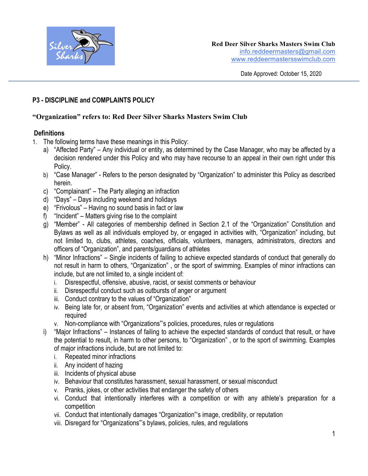

Date Approved: October 15, 2020

# **P3 - DISCIPLINE and COMPLAINTS POLICY**

## **"Organization" refers to: Red Deer Silver Sharks Masters Swim Club**

## **Definitions**

- 1. The following terms have these meanings in this Policy:
	- a) "Affected Party" Any individual or entity, as determined by the Case Manager, who may be affected by a decision rendered under this Policy and who may have recourse to an appeal in their own right under this Policy.
	- b) "Case Manager" Refers to the person designated by "Organization" to administer this Policy as described herein.
	- c) "Complainant" The Party alleging an infraction
	- d) "Days" Days including weekend and holidays
	- e) "Frivolous" Having no sound basis in fact or law
	- f) "Incident" Matters giving rise to the complaint
	- g) "Member" All categories of membership defined in Section 2.1 of the "Organization" Constitution and Bylaws as well as all individuals employed by, or engaged in activities with, "Organization" including, but not limited to, clubs, athletes, coaches, officials, volunteers, managers, administrators, directors and officers of "Organization", and parents/guardians of athletes
	- h) "Minor Infractions" Single incidents of failing to achieve expected standards of conduct that generally do not result in harm to others, "Organization" , or the sport of swimming. Examples of minor infractions can include, but are not limited to, a single incident of:
		- i. Disrespectful, offensive, abusive, racist, or sexist comments or behaviour
		- ii. Disrespectful conduct such as outbursts of anger or argument
		- iii. Conduct contrary to the values of "Organization"
		- iv. Being late for, or absent from, "Organization" events and activities at which attendance is expected or required
		- v. Non-compliance with "Organizations"'s policies, procedures, rules or regulations
	- i) "Major Infractions" Instances of failing to achieve the expected standards of conduct that result, or have the potential to result, in harm to other persons, to "Organization" , or to the sport of swimming. Examples of major infractions include, but are not limited to:
		- i. Repeated minor infractions
		- ii. Any incident of hazing
		- iii. Incidents of physical abuse
		- iv. Behaviour that constitutes harassment, sexual harassment, or sexual misconduct
		- v. Pranks, jokes, or other activities that endanger the safety of others
		- vi. Conduct that intentionally interferes with a competition or with any athlete's preparation for a competition
		- vii. Conduct that intentionally damages "Organization"'s image, credibility, or reputation
		- viii. Disregard for "Organizations"'s bylaws, policies, rules, and regulations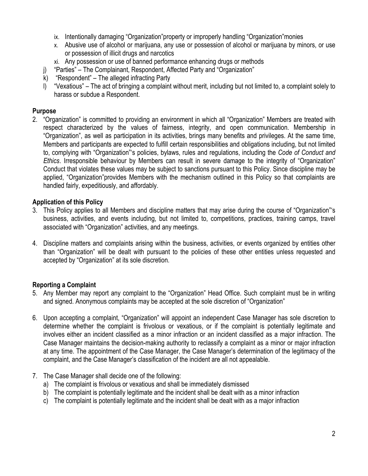- ix. Intentionally damaging "Organization"property or improperly handling "Organization"monies
- x. Abusive use of alcohol or marijuana, any use or possession of alcohol or marijuana by minors, or use or possession of illicit drugs and narcotics
- xi. Any possession or use of banned performance enhancing drugs or methods
- j) "Parties" The Complainant, Respondent, Affected Party and "Organization"
- k) "Respondent" The alleged infracting Party
- l) "Vexatious" The act of bringing a complaint without merit, including but not limited to, a complaint solely to harass or subdue a Respondent.

### **Purpose**

2. "Organization" is committed to providing an environment in which all "Organization" Members are treated with respect characterized by the values of fairness, integrity, and open communication. Membership in "Organization", as well as participation in its activities, brings many benefits and privileges. At the same time, Members and participants are expected to fulfill certain responsibilities and obligations including, but not limited to, complying with "Organization"'s policies, bylaws, rules and regulations, including the *Code of Conduct and Ethics*. Irresponsible behaviour by Members can result in severe damage to the integrity of "Organization" Conduct that violates these values may be subject to sanctions pursuant to this Policy. Since discipline may be applied, "Organization"provides Members with the mechanism outlined in this Policy so that complaints are handled fairly, expeditiously, and affordably.

## **Application of this Policy**

- 3. This Policy applies to all Members and discipline matters that may arise during the course of "Organization"'s business, activities, and events including, but not limited to, competitions, practices, training camps, travel associated with "Organization" activities, and any meetings.
- 4. Discipline matters and complaints arising within the business, activities, or events organized by entities other than "Organization" will be dealt with pursuant to the policies of these other entities unless requested and accepted by "Organization" at its sole discretion.

# **Reporting a Complaint**

- 5. Any Member may report any complaint to the "Organization" Head Office. Such complaint must be in writing and signed. Anonymous complaints may be accepted at the sole discretion of "Organization"
- 6. Upon accepting a complaint, "Organization" will appoint an independent Case Manager has sole discretion to determine whether the complaint is frivolous or vexatious, or if the complaint is potentially legitimate and involves either an incident classified as a minor infraction or an incident classified as a major infraction. The Case Manager maintains the decision-making authority to reclassify a complaint as a minor or major infraction at any time. The appointment of the Case Manager, the Case Manager's determination of the legitimacy of the complaint, and the Case Manager's classification of the incident are all not appealable.
- 7. The Case Manager shall decide one of the following:
	- a) The complaint is frivolous or vexatious and shall be immediately dismissed
	- b) The complaint is potentially legitimate and the incident shall be dealt with as a minor infraction
	- c) The complaint is potentially legitimate and the incident shall be dealt with as a major infraction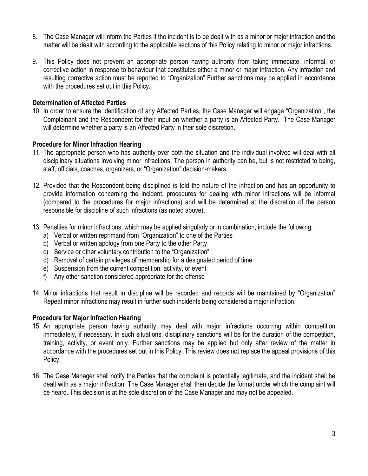- 8. The Case Manager will inform the Parties if the incident is to be dealt with as a minor or major infraction and the matter will be dealt with according to the applicable sections of this Policy relating to minor or major infractions.
- 9. This Policy does not prevent an appropriate person having authority from taking immediate, informal, or corrective action in response to behaviour that constitutes either a minor or major infraction. Any infraction and resulting corrective action must be reported to "Organization" Further sanctions may be applied in accordance with the procedures set out in this Policy.

#### **Determination of Affected Parties**

10. In order to ensure the identification of any Affected Parties, the Case Manager will engage "Organization", the Complainant and the Respondent for their input on whether a party is an Affected Party. The Case Manager will determine whether a party is an Affected Party in their sole discretion.

#### **Procedure for Minor Infraction Hearing**

- 11. The appropriate person who has authority over both the situation and the individual involved will deal with all disciplinary situations involving minor infractions. The person in authority can be, but is not restricted to being, staff, officials, coaches, organizers, or "Organization" decision-makers.
- 12. Provided that the Respondent being disciplined is told the nature of the infraction and has an opportunity to provide information concerning the incident, procedures for dealing with minor infractions will be informal (compared to the procedures for major infractions) and will be determined at the discretion of the person responsible for discipline of such infractions (as noted above).
- 13. Penalties for minor infractions, which may be applied singularly or in combination, include the following:
	- a) Verbal or written reprimand from "Organization" to one of the Parties
	- b) Verbal or written apology from one Party to the other Party
	- c) Service or other voluntary contribution to the "Organization"
	- d) Removal of certain privileges of membership for a designated period of time
	- e) Suspension from the current competition, activity, or event
	- f) Any other sanction considered appropriate for the offense
- 14. Minor infractions that result in discipline will be recorded and records will be maintained by "Organization" Repeat minor infractions may result in further such incidents being considered a major infraction.

#### **Procedure for Major Infraction Hearing**

- 15. An appropriate person having authority may deal with major infractions occurring within competition immediately, if necessary. In such situations, disciplinary sanctions will be for the duration of the competition, training, activity, or event only. Further sanctions may be applied but only after review of the matter in accordance with the procedures set out in this Policy. This review does not replace the appeal provisions of this Policy.
- 16. The Case Manager shall notify the Parties that the complaint is potentially legitimate, and the incident shall be dealt with as a major infraction. The Case Manager shall then decide the format under which the complaint will be heard. This decision is at the sole discretion of the Case Manager and may not be appealed.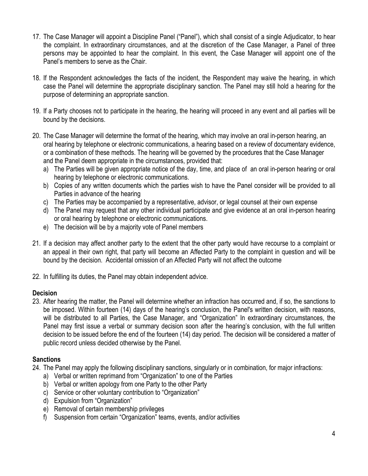- 17. The Case Manager will appoint a Discipline Panel ("Panel"), which shall consist of a single Adjudicator, to hear the complaint. In extraordinary circumstances, and at the discretion of the Case Manager, a Panel of three persons may be appointed to hear the complaint. In this event, the Case Manager will appoint one of the Panel's members to serve as the Chair.
- 18. If the Respondent acknowledges the facts of the incident, the Respondent may waive the hearing, in which case the Panel will determine the appropriate disciplinary sanction. The Panel may still hold a hearing for the purpose of determining an appropriate sanction.
- 19. If a Party chooses not to participate in the hearing, the hearing will proceed in any event and all parties will be bound by the decisions.
- 20. The Case Manager will determine the format of the hearing, which may involve an oral in-person hearing, an oral hearing by telephone or electronic communications, a hearing based on a review of documentary evidence, or a combination of these methods. The hearing will be governed by the procedures that the Case Manager and the Panel deem appropriate in the circumstances, provided that:
	- a) The Parties will be given appropriate notice of the day, time, and place of an oral in-person hearing or oral hearing by telephone or electronic communications.
	- b) Copies of any written documents which the parties wish to have the Panel consider will be provided to all Parties in advance of the hearing
	- c) The Parties may be accompanied by a representative, advisor, or legal counsel at their own expense
	- d) The Panel may request that any other individual participate and give evidence at an oral in-person hearing or oral hearing by telephone or electronic communications.
	- e) The decision will be by a majority vote of Panel members
- 21. If a decision may affect another party to the extent that the other party would have recourse to a complaint or an appeal in their own right, that party will become an Affected Party to the complaint in question and will be bound by the decision. Accidental omission of an Affected Party will not affect the outcome
- 22. In fulfilling its duties, the Panel may obtain independent advice.

### **Decision**

23. After hearing the matter, the Panel will determine whether an infraction has occurred and, if so, the sanctions to be imposed. Within fourteen (14) days of the hearing's conclusion, the Panel's written decision, with reasons, will be distributed to all Parties, the Case Manager, and "Organization" In extraordinary circumstances, the Panel may first issue a verbal or summary decision soon after the hearing's conclusion, with the full written decision to be issued before the end of the fourteen (14) day period. The decision will be considered a matter of public record unless decided otherwise by the Panel.

# **Sanctions**

- 24. The Panel may apply the following disciplinary sanctions, singularly or in combination, for major infractions:
	- a) Verbal or written reprimand from "Organization" to one of the Parties
	- b) Verbal or written apology from one Party to the other Party
	- c) Service or other voluntary contribution to "Organization"
	- d) Expulsion from "Organization"
	- e) Removal of certain membership privileges
	- f) Suspension from certain "Organization" teams, events, and/or activities